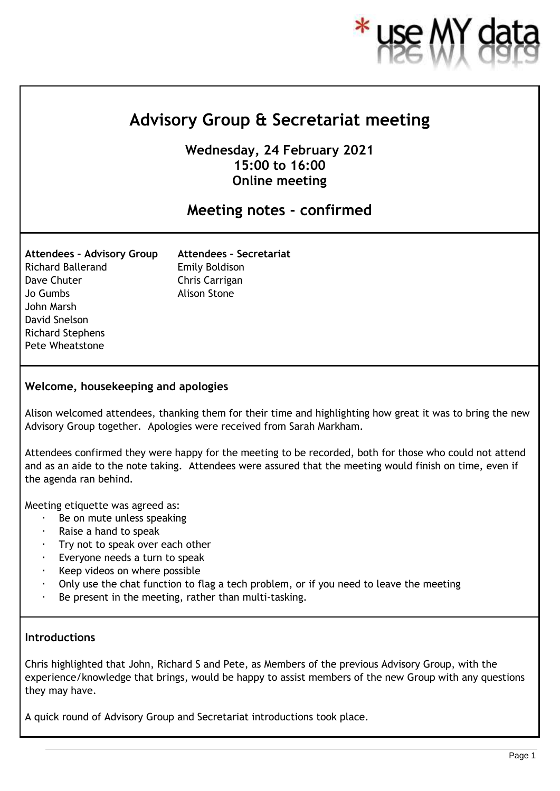

# **Advisory Group & Secretariat meeting**

**Wednesday, 24 February 2021 15:00 to 16:00 Online meeting**

# **Meeting notes - confirmed**

| <b>Attendees - Advisory Group</b> |
|-----------------------------------|
| Richard Ballerand                 |
| Dave Chuter                       |
| Jo Gumbs                          |
| John Marsh                        |
| David Snelson                     |
| <b>Richard Stephens</b>           |
| <b>Pete Wheatstone</b>            |

**Attendees – Secretariat** Emily Boldison Chris Carrigan Alison Stone

#### **Welcome, housekeeping and apologies**

Alison welcomed attendees, thanking them for their time and highlighting how great it was to bring the new Advisory Group together. Apologies were received from Sarah Markham.

Attendees confirmed they were happy for the meeting to be recorded, both for those who could not attend and as an aide to the note taking. Attendees were assured that the meeting would finish on time, even if the agenda ran behind.

Meeting etiquette was agreed as:

- Be on mute unless speaking
- Raise a hand to speak
- $\cdot$  Try not to speak over each other
- Everyone needs a turn to speak
- Keep videos on where possible
- Only use the chat function to flag a tech problem, or if you need to leave the meeting
- Be present in the meeting, rather than multi-tasking.

#### **Introductions**

Chris highlighted that John, Richard S and Pete, as Members of the previous Advisory Group, with the experience/knowledge that brings, would be happy to assist members of the new Group with any questions they may have.

A quick round of Advisory Group and Secretariat introductions took place.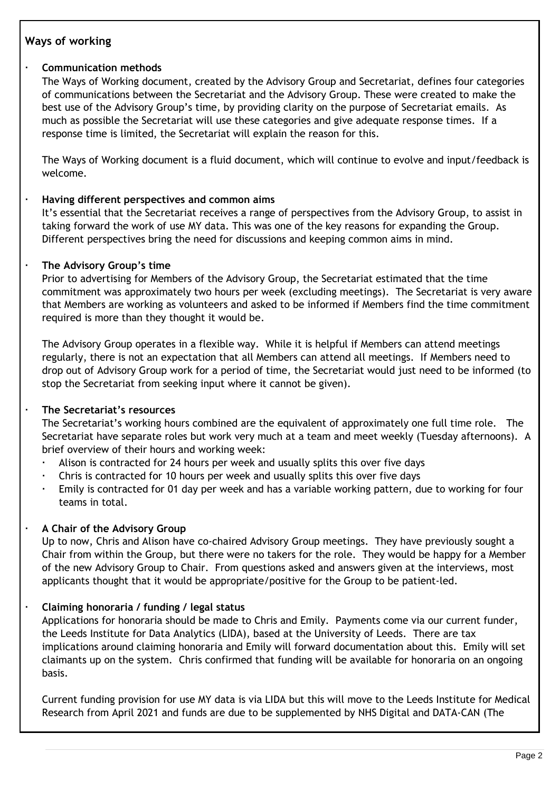# **Ways of working**

# **Communication methods**

The Ways of Working document, created by the Advisory Group and Secretariat, defines four categories of communications between the Secretariat and the Advisory Group. These were created to make the best use of the Advisory Group's time, by providing clarity on the purpose of Secretariat emails. As much as possible the Secretariat will use these categories and give adequate response times. If a response time is limited, the Secretariat will explain the reason for this.

The Ways of Working document is a fluid document, which will continue to evolve and input/feedback is welcome.

#### **Having different perspectives and common aims**

It's essential that the Secretariat receives a range of perspectives from the Advisory Group, to assist in taking forward the work of use MY data. This was one of the key reasons for expanding the Group. Different perspectives bring the need for discussions and keeping common aims in mind.

#### **The Advisory Group's time**

Prior to advertising for Members of the Advisory Group, the Secretariat estimated that the time commitment was approximately two hours per week (excluding meetings). The Secretariat is very aware that Members are working as volunteers and asked to be informed if Members find the time commitment required is more than they thought it would be.

The Advisory Group operates in a flexible way. While it is helpful if Members can attend meetings regularly, there is not an expectation that all Members can attend all meetings. If Members need to drop out of Advisory Group work for a period of time, the Secretariat would just need to be informed (to stop the Secretariat from seeking input where it cannot be given).

# **The Secretariat's resources**

The Secretariat's working hours combined are the equivalent of approximately one full time role. The Secretariat have separate roles but work very much at a team and meet weekly (Tuesday afternoons). A brief overview of their hours and working week:

- Alison is contracted for 24 hours per week and usually splits this over five days
- Chris is contracted for 10 hours per week and usually splits this over five days
- Emily is contracted for 01 day per week and has a variable working pattern, due to working for four teams in total.

# **A Chair of the Advisory Group**

Up to now, Chris and Alison have co-chaired Advisory Group meetings. They have previously sought a Chair from within the Group, but there were no takers for the role. They would be happy for a Member of the new Advisory Group to Chair. From questions asked and answers given at the interviews, most applicants thought that it would be appropriate/positive for the Group to be patient-led.

# **Claiming honoraria / funding / legal status**

Applications for honoraria should be made to Chris and Emily. Payments come via our current funder, the Leeds Institute for Data Analytics (LIDA), based at the University of Leeds. There are tax implications around claiming honoraria and Emily will forward documentation about this. Emily will set claimants up on the system. Chris confirmed that funding will be available for honoraria on an ongoing basis.

Current funding provision for use MY data is via LIDA but this will move to the Leeds Institute for Medical Research from April 2021 and funds are due to be supplemented by NHS Digital and DATA-CAN (The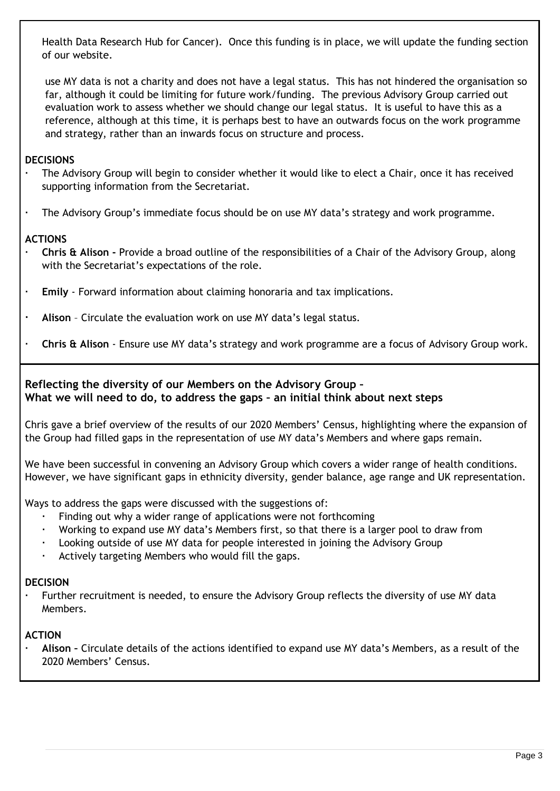Health Data Research Hub for Cancer). Once this funding is in place, we will update the funding section of our website.

use MY data is not a charity and does not have a legal status. This has not hindered the organisation so far, although it could be limiting for future work/funding. The previous Advisory Group carried out evaluation work to assess whether we should change our legal status. It is useful to have this as a reference, although at this time, it is perhaps best to have an outwards focus on the work programme and strategy, rather than an inwards focus on structure and process.

# **DECISIONS**

- The Advisory Group will begin to consider whether it would like to elect a Chair, once it has received supporting information from the Secretariat.
- The Advisory Group's immediate focus should be on use MY data's strategy and work programme.

# **ACTIONS**

- **Chris & Alison -** Provide a broad outline of the responsibilities of a Chair of the Advisory Group, along with the Secretariat's expectations of the role.
- **Emily** Forward information about claiming honoraria and tax implications.
- **Alison** Circulate the evaluation work on use MY data's legal status.
- **Chris & Alison** Ensure use MY data's strategy and work programme are a focus of Advisory Group work.

# **Reflecting the diversity of our Members on the Advisory Group – What we will need to do, to address the gaps – an initial think about next steps**

Chris gave a brief overview of the results of our 2020 Members' Census, highlighting where the expansion of the Group had filled gaps in the representation of use MY data's Members and where gaps remain.

We have been successful in convening an Advisory Group which covers a wider range of health conditions. However, we have significant gaps in ethnicity diversity, gender balance, age range and UK representation.

Ways to address the gaps were discussed with the suggestions of:

- Finding out why a wider range of applications were not forthcoming
- Working to expand use MY data's Members first, so that there is a larger pool to draw from
- Looking outside of use MY data for people interested in joining the Advisory Group
- Actively targeting Members who would fill the gaps.

#### **DECISION**

 Further recruitment is needed, to ensure the Advisory Group reflects the diversity of use MY data Members.

#### **ACTION**

 **Alison –** Circulate details of the actions identified to expand use MY data's Members, as a result of the 2020 Members' Census.